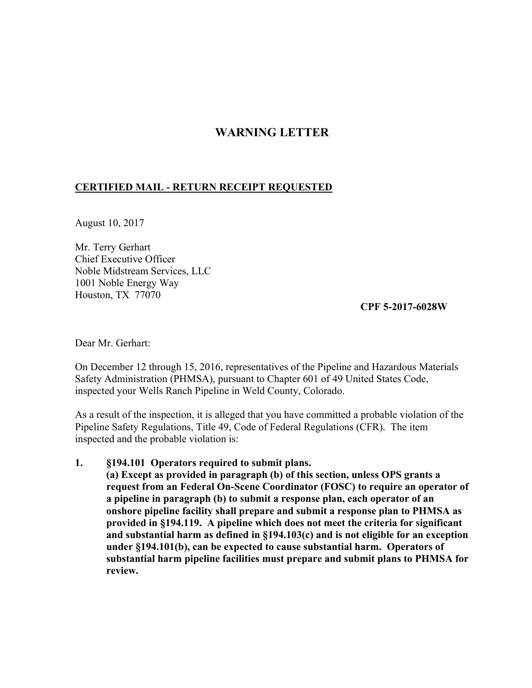## **WARNING LETTER**

## **CERTIFIED MAIL - RETURN RECEIPT REQUESTED**

August 10, 2017

Mr. Terry Gerhart Chief Executive Officer Noble Midstream Services, LLC 1001 Noble Energy Way Houston, TX 77070

**CPF 5-2017-6028W** 

Dear Mr. Gerhart:

On December 12 through 15, 2016, representatives of the Pipeline and Hazardous Materials Safety Administration (PHMSA), pursuant to Chapter 601 of 49 United States Code, inspected your Wells Ranch Pipeline in Weld County, Colorado.

As a result of the inspection, it is alleged that you have committed a probable violation of the Pipeline Safety Regulations, Title 49, Code of Federal Regulations (CFR). The item inspected and the probable violation is:

## **1. §194.101 Operators required to submit plans.**

**(a) Except as provided in paragraph (b) of this section, unless OPS grants a request from an Federal On-Scene Coordinator (FOSC) to require an operator of a pipeline in paragraph (b) to submit a response plan, each operator of an onshore pipeline facility shall prepare and submit a response plan to PHMSA as provided in §194.119. A pipeline which does not meet the criteria for significant and substantial harm as defined in §194.103(c) and is not eligible for an exception under §194.101(b), can be expected to cause substantial harm. Operators of substantial harm pipeline facilities must prepare and submit plans to PHMSA for review.**